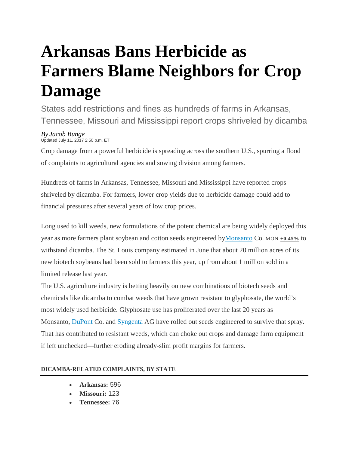# **Arkansas Bans Herbicide as Farmers Blame Neighbors for Crop Damage**

States add restrictions and fines as hundreds of farms in Arkansas, Tennessee, Missouri and Mississippi report crops shriveled by dicamba

# *By Jacob Bunge*

Updated July 11, 2017 2:50 p.m. ET

Crop damage from a powerful herbicide is spreading across the southern U.S., spurring a flood of complaints to agricultural agencies and sowing division among farmers.

Hundreds of farms in Arkansas, Tennessee, Missouri and Mississippi have reported crops shriveled by dicamba. For farmers, lower crop yields due to herbicide damage could add to financial pressures after several years of low crop prices.

Long used to kill weeds, new formulations of the potent chemical are being widely deployed this year as more farmers plant soybean and cotton seeds engineered b[yMonsanto](http://quotes.wsj.com/MON) Co. MON **[+0.45%](http://quotes.wsj.com/MON?mod=chiclets)** to withstand dicamba. The St. Louis company estimated in June that about 20 million acres of its new biotech soybeans had been sold to farmers this year, up from about 1 million sold in a limited release last year.

The U.S. agriculture industry is betting heavily on new combinations of biotech seeds and chemicals like dicamba to combat weeds that have grown resistant to glyphosate, the world's most widely used herbicide. Glyphosate use has proliferated over the last 20 years as Monsanto, [DuPont](http://quotes.wsj.com/DD) Co. and [Syngenta](http://quotes.wsj.com/SYT) AG have rolled out seeds engineered to survive that spray. That has contributed to resistant weeds, which can choke out crops and damage farm equipment if left unchecked—further eroding already-slim profit margins for farmers.

## **DICAMBA-RELATED COMPLAINTS, BY STATE**

- **Arkansas:** 596
- **Missouri:** 123
- **Tennessee:** 76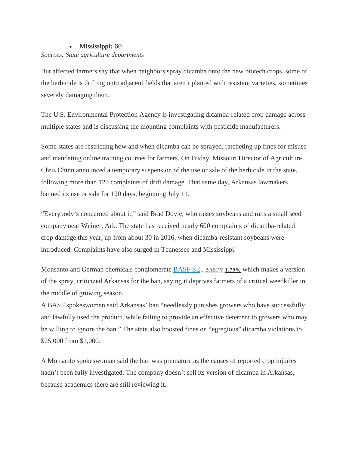### • **Mississippi:** 60

#### *Sources: State agriculture departments*

But affected farmers say that when neighbors spray dicamba onto the new biotech crops, some of the herbicide is drifting onto adjacent fields that aren't planted with resistant varieties, sometimes severely damaging them.

The U.S. Environmental Protection Agency is investigating dicamba-related crop damage across multiple states and is discussing the mounting complaints with pesticide manufacturers.

Some states are restricting how and when dicamba can be sprayed, ratcheting up fines for misuse and mandating online training courses for farmers. On Friday, Missouri Director of Agriculture Chris Chinn announced a temporary suspension of the use or sale of the herbicide in the state, following more than 120 complaints of drift damage. That same day, Arkansas lawmakers banned its use or sale for 120 days, beginning July 11.

"Everybody's concerned about it," said Brad Doyle, who raises soybeans and runs a small seed company near Weiner, Ark. The state has received nearly 600 complaints of dicamba-related crop damage this year, up from about 30 in 2016, when dicamba-resistant soybeans were introduced. Complaints have also surged in Tennessee and Mississippi.

Monsanto and German chemicals conglomerate [BASF SE](http://quotes.wsj.com/BASFY) , [BASFY](http://quotes.wsj.com/BASFY?mod=chiclets) **1.79%** which makes a version of the spray, criticized Arkansas for the ban, saying it deprives farmers of a critical weedkiller in the middle of growing season.

A BASF spokeswoman said Arkansas' ban "needlessly punishes growers who have successfully and lawfully used the product, while failing to provide an effective deterrent to growers who may be willing to ignore the ban." The state also boosted fines on "egregious" dicamba violations to \$25,000 from \$1,000.

A Monsanto spokeswoman said the ban was premature as the causes of reported crop injuries hadn't been fully investigated. The company doesn't sell its version of dicamba in Arkansas, because academics there are still reviewing it.